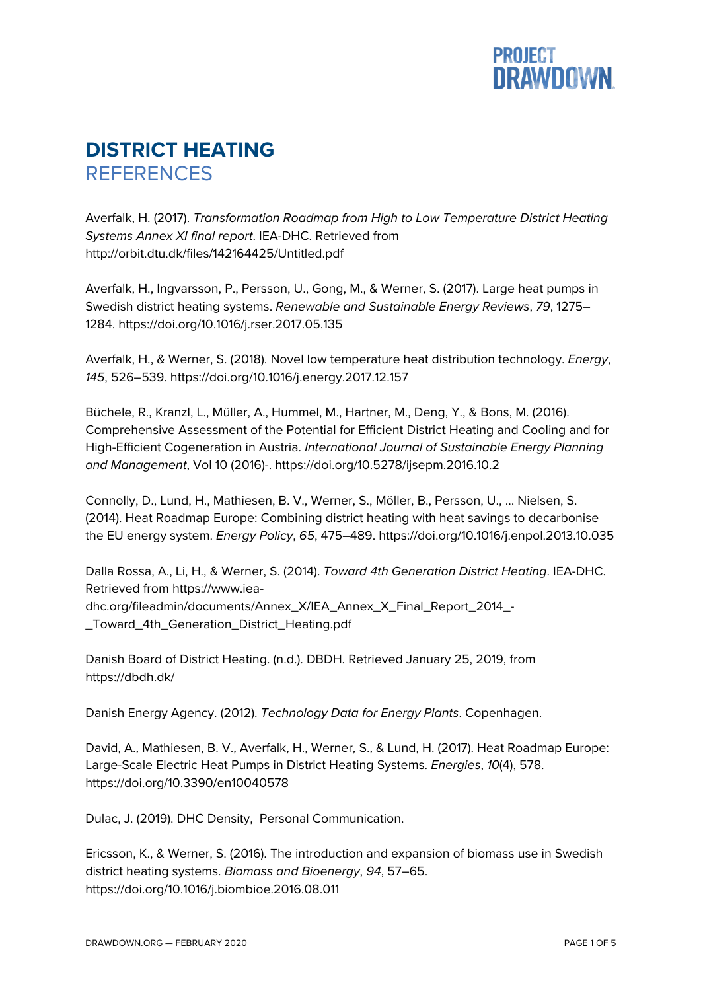

## **DISTRICT HEATING REFERENCES**

Averfalk, H. (2017). *Transformation Roadmap from High to Low Temperature District Heating Systems Annex XI final report*. IEA-DHC. Retrieved from http://orbit.dtu.dk/files/142164425/Untitled.pdf

Averfalk, H., Ingvarsson, P., Persson, U., Gong, M., & Werner, S. (2017). Large heat pumps in Swedish district heating systems. *Renewable and Sustainable Energy Reviews*, *79*, 1275– 1284. https://doi.org/10.1016/j.rser.2017.05.135

Averfalk, H., & Werner, S. (2018). Novel low temperature heat distribution technology. *Energy*, *145*, 526–539. https://doi.org/10.1016/j.energy.2017.12.157

Büchele, R., Kranzl, L., Müller, A., Hummel, M., Hartner, M., Deng, Y., & Bons, M. (2016). Comprehensive Assessment of the Potential for Efficient District Heating and Cooling and for High-Efficient Cogeneration in Austria. *International Journal of Sustainable Energy Planning and Management*, Vol 10 (2016)-. https://doi.org/10.5278/ijsepm.2016.10.2

Connolly, D., Lund, H., Mathiesen, B. V., Werner, S., Möller, B., Persson, U., … Nielsen, S. (2014). Heat Roadmap Europe: Combining district heating with heat savings to decarbonise the EU energy system. *Energy Policy*, *65*, 475–489. https://doi.org/10.1016/j.enpol.2013.10.035

Dalla Rossa, A., Li, H., & Werner, S. (2014). *Toward 4th Generation District Heating*. IEA-DHC. Retrieved from https://www.ieadhc.org/fileadmin/documents/Annex\_X/IEA\_Annex\_X\_Final\_Report\_2014\_- \_Toward\_4th\_Generation\_District\_Heating.pdf

Danish Board of District Heating. (n.d.). DBDH. Retrieved January 25, 2019, from https://dbdh.dk/

Danish Energy Agency. (2012). *Technology Data for Energy Plants*. Copenhagen.

David, A., Mathiesen, B. V., Averfalk, H., Werner, S., & Lund, H. (2017). Heat Roadmap Europe: Large-Scale Electric Heat Pumps in District Heating Systems. *Energies*, *10*(4), 578. https://doi.org/10.3390/en10040578

Dulac, J. (2019). DHC Density, Personal Communication.

Ericsson, K., & Werner, S. (2016). The introduction and expansion of biomass use in Swedish district heating systems. *Biomass and Bioenergy*, *94*, 57–65. https://doi.org/10.1016/j.biombioe.2016.08.011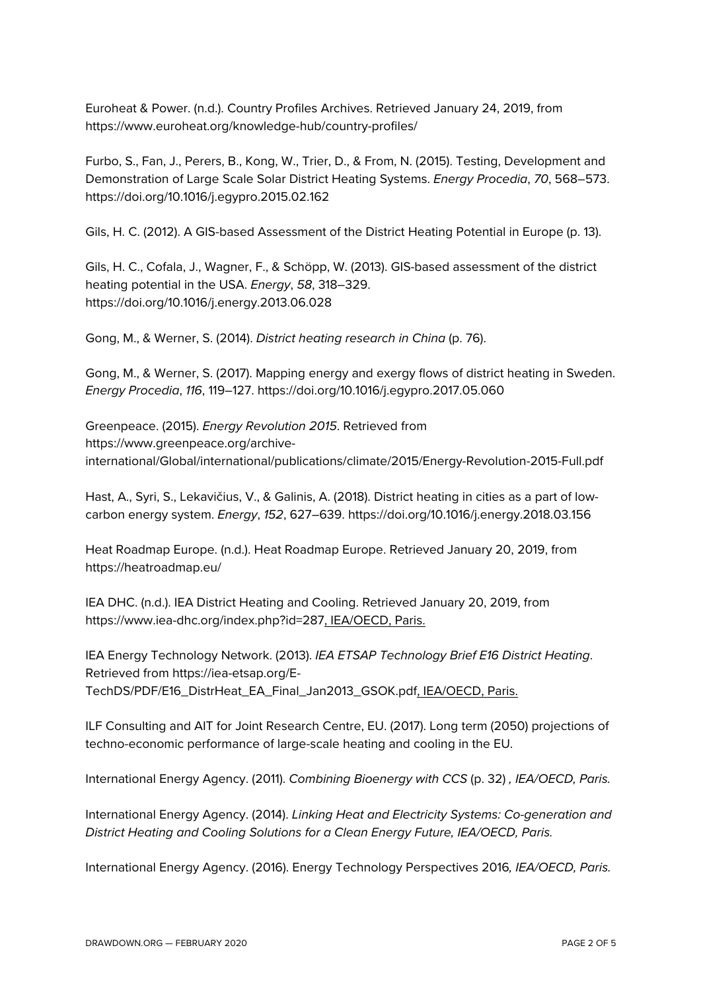Euroheat & Power. (n.d.). Country Profiles Archives. Retrieved January 24, 2019, from https://www.euroheat.org/knowledge-hub/country-profiles/

Furbo, S., Fan, J., Perers, B., Kong, W., Trier, D., & From, N. (2015). Testing, Development and Demonstration of Large Scale Solar District Heating Systems. *Energy Procedia*, *70*, 568–573. https://doi.org/10.1016/j.egypro.2015.02.162

Gils, H. C. (2012). A GIS-based Assessment of the District Heating Potential in Europe (p. 13).

Gils, H. C., Cofala, J., Wagner, F., & Schöpp, W. (2013). GIS-based assessment of the district heating potential in the USA. *Energy*, *58*, 318–329. https://doi.org/10.1016/j.energy.2013.06.028

Gong, M., & Werner, S. (2014). *District heating research in China* (p. 76).

Gong, M., & Werner, S. (2017). Mapping energy and exergy flows of district heating in Sweden. *Energy Procedia*, *116*, 119–127. https://doi.org/10.1016/j.egypro.2017.05.060

Greenpeace. (2015). *Energy Revolution 2015*. Retrieved from https://www.greenpeace.org/archiveinternational/Global/international/publications/climate/2015/Energy-Revolution-2015-Full.pdf

Hast, A., Syri, S., Lekavičius, V., & Galinis, A. (2018). District heating in cities as a part of lowcarbon energy system. *Energy*, *152*, 627–639. https://doi.org/10.1016/j.energy.2018.03.156

Heat Roadmap Europe. (n.d.). Heat Roadmap Europe. Retrieved January 20, 2019, from https://heatroadmap.eu/

IEA DHC. (n.d.). IEA District Heating and Cooling. Retrieved January 20, 2019, from https://www.iea-dhc.org/index.php?id=287, IEA/OECD, Paris.

IEA Energy Technology Network. (2013). *IEA ETSAP Technology Brief E16 District Heating*. Retrieved from https://iea-etsap.org/E-TechDS/PDF/E16\_DistrHeat\_EA\_Final\_Jan2013\_GSOK.pdf, IEA/OECD, Paris.

ILF Consulting and AIT for Joint Research Centre, EU. (2017). Long term (2050) projections of techno-economic performance of large-scale heating and cooling in the EU.

International Energy Agency. (2011). *Combining Bioenergy with CCS* (p. 32) *, IEA/OECD, Paris.*

International Energy Agency. (2014). *Linking Heat and Electricity Systems: Co-generation and District Heating and Cooling Solutions for a Clean Energy Future, IEA/OECD, Paris.*

International Energy Agency. (2016). Energy Technology Perspectives 2016*, IEA/OECD, Paris.*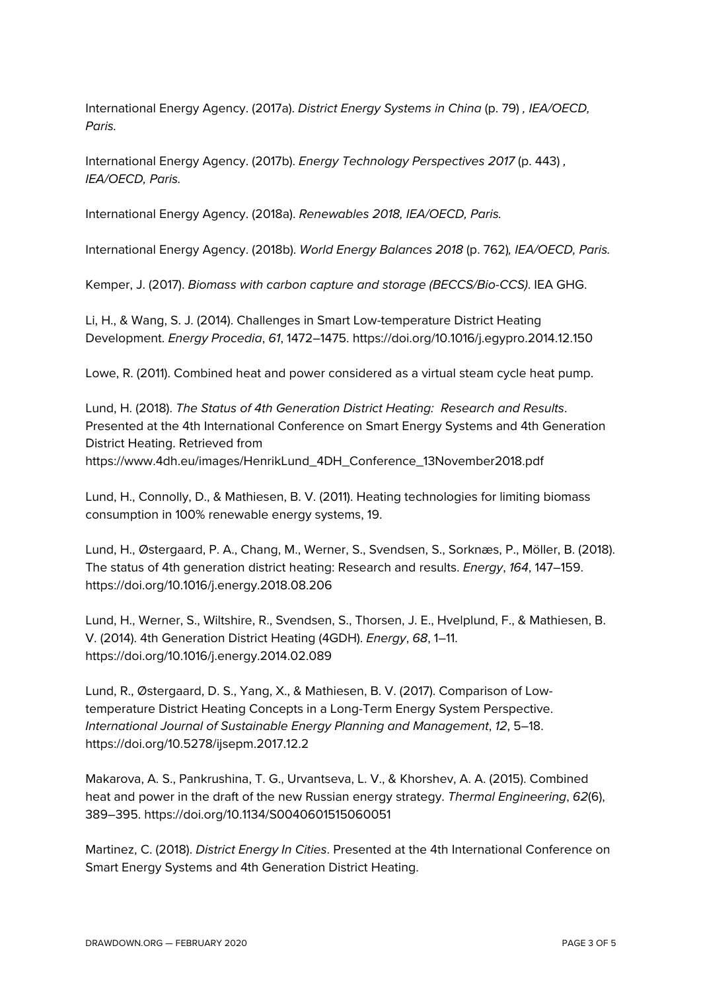International Energy Agency. (2017a). *District Energy Systems in China* (p. 79) *, IEA/OECD, Paris.*

International Energy Agency. (2017b). *Energy Technology Perspectives 2017* (p. 443) *, IEA/OECD, Paris.*

International Energy Agency. (2018a). *Renewables 2018, IEA/OECD, Paris.*

International Energy Agency. (2018b). *World Energy Balances 2018* (p. 762)*, IEA/OECD, Paris.*

Kemper, J. (2017). *Biomass with carbon capture and storage (BECCS/Bio-CCS)*. IEA GHG.

Li, H., & Wang, S. J. (2014). Challenges in Smart Low-temperature District Heating Development. *Energy Procedia*, *61*, 1472–1475. https://doi.org/10.1016/j.egypro.2014.12.150

Lowe, R. (2011). Combined heat and power considered as a virtual steam cycle heat pump.

Lund, H. (2018). *The Status of 4th Generation District Heating: Research and Results*. Presented at the 4th International Conference on Smart Energy Systems and 4th Generation District Heating. Retrieved from https://www.4dh.eu/images/HenrikLund\_4DH\_Conference\_13November2018.pdf

Lund, H., Connolly, D., & Mathiesen, B. V. (2011). Heating technologies for limiting biomass consumption in 100% renewable energy systems, 19.

Lund, H., Østergaard, P. A., Chang, M., Werner, S., Svendsen, S., Sorknæs, P., Möller, B. (2018). The status of 4th generation district heating: Research and results. *Energy*, *164*, 147–159. https://doi.org/10.1016/j.energy.2018.08.206

Lund, H., Werner, S., Wiltshire, R., Svendsen, S., Thorsen, J. E., Hvelplund, F., & Mathiesen, B. V. (2014). 4th Generation District Heating (4GDH). *Energy*, *68*, 1–11. https://doi.org/10.1016/j.energy.2014.02.089

Lund, R., Østergaard, D. S., Yang, X., & Mathiesen, B. V. (2017). Comparison of Lowtemperature District Heating Concepts in a Long-Term Energy System Perspective. *International Journal of Sustainable Energy Planning and Management*, *12*, 5–18. https://doi.org/10.5278/ijsepm.2017.12.2

Makarova, A. S., Pankrushina, T. G., Urvantseva, L. V., & Khorshev, A. A. (2015). Combined heat and power in the draft of the new Russian energy strategy. *Thermal Engineering*, *62*(6), 389–395. https://doi.org/10.1134/S0040601515060051

Martinez, C. (2018). *District Energy In Cities*. Presented at the 4th International Conference on Smart Energy Systems and 4th Generation District Heating.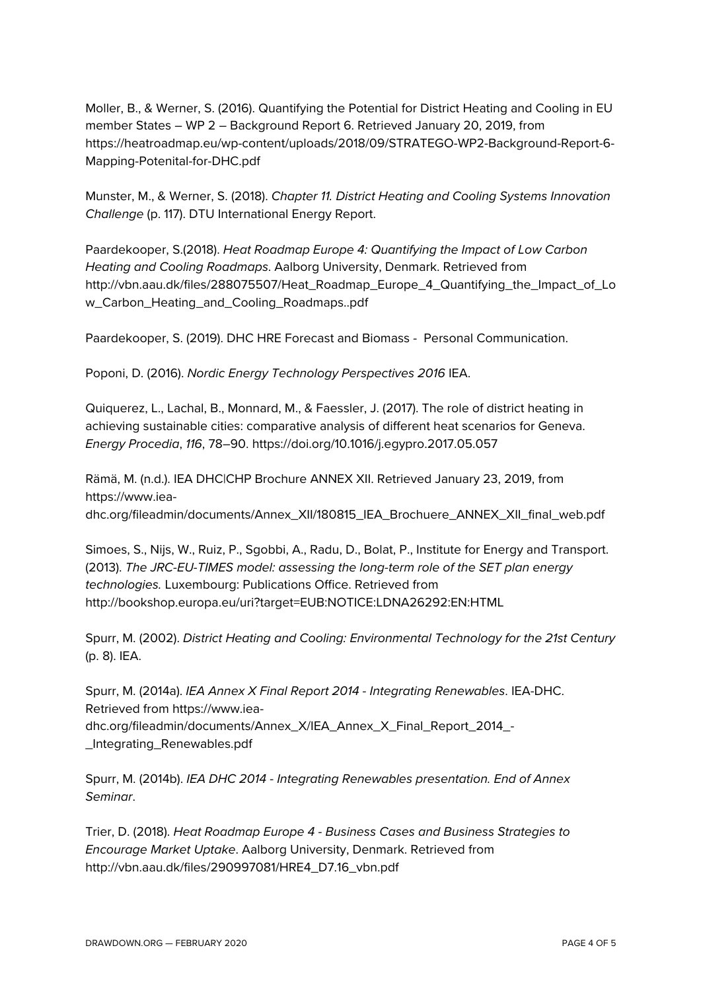Moller, B., & Werner, S. (2016). Quantifying the Potential for District Heating and Cooling in EU member States – WP 2 – Background Report 6. Retrieved January 20, 2019, from https://heatroadmap.eu/wp-content/uploads/2018/09/STRATEGO-WP2-Background-Report-6- Mapping-Potenital-for-DHC.pdf

Munster, M., & Werner, S. (2018). *Chapter 11. District Heating and Cooling Systems Innovation Challenge* (p. 117). DTU International Energy Report.

Paardekooper, S.(2018). *Heat Roadmap Europe 4: Quantifying the Impact of Low Carbon Heating and Cooling Roadmaps*. Aalborg University, Denmark. Retrieved from http://vbn.aau.dk/files/288075507/Heat\_Roadmap\_Europe\_4\_Quantifying\_the\_Impact\_of\_Lo w\_Carbon\_Heating\_and\_Cooling\_Roadmaps..pdf

Paardekooper, S. (2019). DHC HRE Forecast and Biomass - Personal Communication.

Poponi, D. (2016). *Nordic Energy Technology Perspectives 2016* IEA.

Quiquerez, L., Lachal, B., Monnard, M., & Faessler, J. (2017). The role of district heating in achieving sustainable cities: comparative analysis of different heat scenarios for Geneva. *Energy Procedia*, *116*, 78–90. https://doi.org/10.1016/j.egypro.2017.05.057

Rämä, M. (n.d.). IEA DHC|CHP Brochure ANNEX XII. Retrieved January 23, 2019, from https://www.ieadhc.org/fileadmin/documents/Annex\_XII/180815\_IEA\_Brochuere\_ANNEX\_XII\_final\_web.pdf

Simoes, S., Nijs, W., Ruiz, P., Sgobbi, A., Radu, D., Bolat, P., Institute for Energy and Transport. (2013). *The JRC-EU-TIMES model: assessing the long-term role of the SET plan energy technologies.* Luxembourg: Publications Office. Retrieved from http://bookshop.europa.eu/uri?target=EUB:NOTICE:LDNA26292:EN:HTML

Spurr, M. (2002). *District Heating and Cooling: Environmental Technology for the 21st Century* (p. 8). IEA.

Spurr, M. (2014a). *IEA Annex X Final Report 2014 - Integrating Renewables*. IEA-DHC. Retrieved from https://www.ieadhc.org/fileadmin/documents/Annex\_X/IEA\_Annex\_X\_Final\_Report\_2014\_- \_Integrating\_Renewables.pdf

Spurr, M. (2014b). *IEA DHC 2014 - Integrating Renewables presentation. End of Annex Seminar*.

Trier, D. (2018). *Heat Roadmap Europe 4 - Business Cases and Business Strategies to Encourage Market Uptake*. Aalborg University, Denmark. Retrieved from http://vbn.aau.dk/files/290997081/HRE4\_D7.16\_vbn.pdf